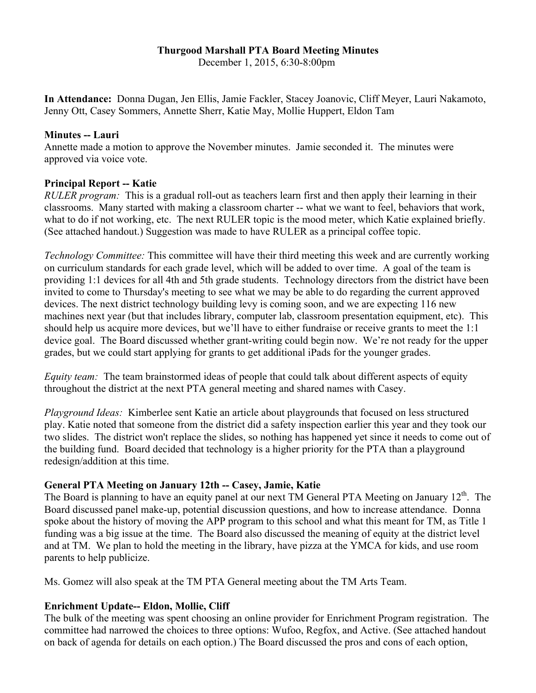# **Thurgood Marshall PTA Board Meeting Minutes**

December 1, 2015, 6:30-8:00pm

**In Attendance:** Donna Dugan, Jen Ellis, Jamie Fackler, Stacey Joanovic, Cliff Meyer, Lauri Nakamoto, Jenny Ott, Casey Sommers, Annette Sherr, Katie May, Mollie Huppert, Eldon Tam

## **Minutes -- Lauri**

Annette made a motion to approve the November minutes. Jamie seconded it. The minutes were approved via voice vote.

## **Principal Report -- Katie**

*RULER program:* This is a gradual roll-out as teachers learn first and then apply their learning in their classrooms. Many started with making a classroom charter -- what we want to feel, behaviors that work, what to do if not working, etc. The next RULER topic is the mood meter, which Katie explained briefly. (See attached handout.) Suggestion was made to have RULER as a principal coffee topic.

*Technology Committee:* This committee will have their third meeting this week and are currently working on curriculum standards for each grade level, which will be added to over time. A goal of the team is providing 1:1 devices for all 4th and 5th grade students. Technology directors from the district have been invited to come to Thursday's meeting to see what we may be able to do regarding the current approved devices. The next district technology building levy is coming soon, and we are expecting 116 new machines next year (but that includes library, computer lab, classroom presentation equipment, etc). This should help us acquire more devices, but we'll have to either fundraise or receive grants to meet the 1:1 device goal. The Board discussed whether grant-writing could begin now. We're not ready for the upper grades, but we could start applying for grants to get additional iPads for the younger grades.

*Equity team:* The team brainstormed ideas of people that could talk about different aspects of equity throughout the district at the next PTA general meeting and shared names with Casey.

*Playground Ideas:* Kimberlee sent Katie an article about playgrounds that focused on less structured play. Katie noted that someone from the district did a safety inspection earlier this year and they took our two slides. The district won't replace the slides, so nothing has happened yet since it needs to come out of the building fund. Board decided that technology is a higher priority for the PTA than a playground redesign/addition at this time.

## **General PTA Meeting on January 12th -- Casey, Jamie, Katie**

The Board is planning to have an equity panel at our next TM General PTA Meeting on January  $12<sup>th</sup>$ . The Board discussed panel make-up, potential discussion questions, and how to increase attendance. Donna spoke about the history of moving the APP program to this school and what this meant for TM, as Title 1 funding was a big issue at the time. The Board also discussed the meaning of equity at the district level and at TM. We plan to hold the meeting in the library, have pizza at the YMCA for kids, and use room parents to help publicize.

Ms. Gomez will also speak at the TM PTA General meeting about the TM Arts Team.

## **Enrichment Update-- Eldon, Mollie, Cliff**

The bulk of the meeting was spent choosing an online provider for Enrichment Program registration. The committee had narrowed the choices to three options: Wufoo, Regfox, and Active. (See attached handout on back of agenda for details on each option.) The Board discussed the pros and cons of each option,